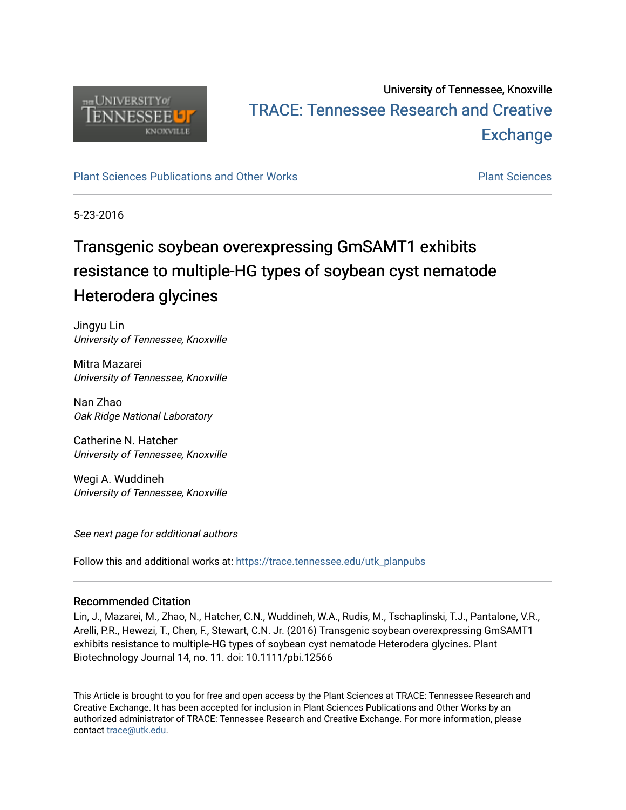

# University of Tennessee, Knoxville TRACE: T[ennessee Research and Cr](https://trace.tennessee.edu/)eative **Exchange**

# [Plant Sciences Publications and Other Works](https://trace.tennessee.edu/utk_planpubs) [Plant Sciences](https://trace.tennessee.edu/utk-plan)

5-23-2016

# Transgenic soybean overexpressing GmSAMT1 exhibits resistance to multiple-HG types of soybean cyst nematode Heterodera glycines

Jingyu Lin University of Tennessee, Knoxville

Mitra Mazarei University of Tennessee, Knoxville

Nan Zhao Oak Ridge National Laboratory

Catherine N. Hatcher University of Tennessee, Knoxville

Wegi A. Wuddineh University of Tennessee, Knoxville

See next page for additional authors

Follow this and additional works at: [https://trace.tennessee.edu/utk\\_planpubs](https://trace.tennessee.edu/utk_planpubs?utm_source=trace.tennessee.edu%2Futk_planpubs%2F81&utm_medium=PDF&utm_campaign=PDFCoverPages) 

# Recommended Citation

Lin, J., Mazarei, M., Zhao, N., Hatcher, C.N., Wuddineh, W.A., Rudis, M., Tschaplinski, T.J., Pantalone, V.R., Arelli, P.R., Hewezi, T., Chen, F., Stewart, C.N. Jr. (2016) Transgenic soybean overexpressing GmSAMT1 exhibits resistance to multiple-HG types of soybean cyst nematode Heterodera glycines. Plant Biotechnology Journal 14, no. 11. doi: 10.1111/pbi.12566

This Article is brought to you for free and open access by the Plant Sciences at TRACE: Tennessee Research and Creative Exchange. It has been accepted for inclusion in Plant Sciences Publications and Other Works by an authorized administrator of TRACE: Tennessee Research and Creative Exchange. For more information, please contact [trace@utk.edu](mailto:trace@utk.edu).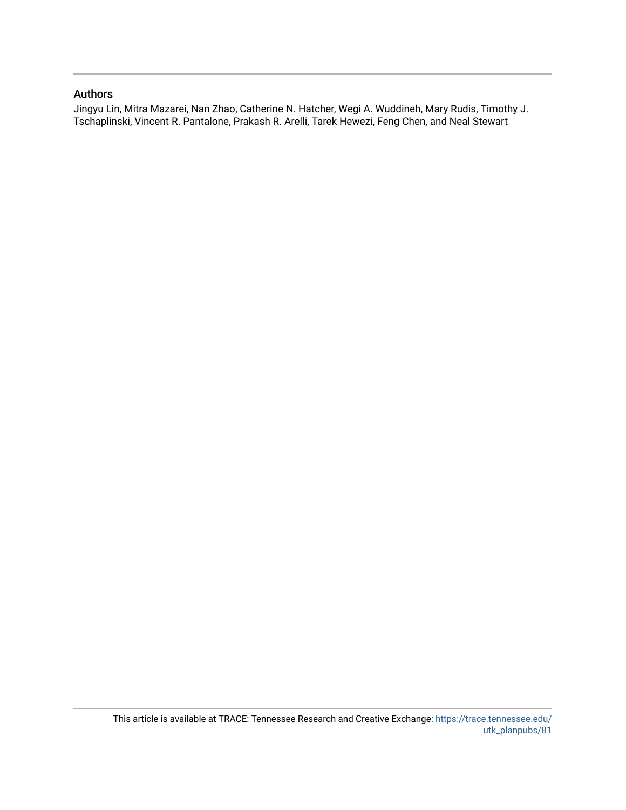# Authors

Jingyu Lin, Mitra Mazarei, Nan Zhao, Catherine N. Hatcher, Wegi A. Wuddineh, Mary Rudis, Timothy J. Tschaplinski, Vincent R. Pantalone, Prakash R. Arelli, Tarek Hewezi, Feng Chen, and Neal Stewart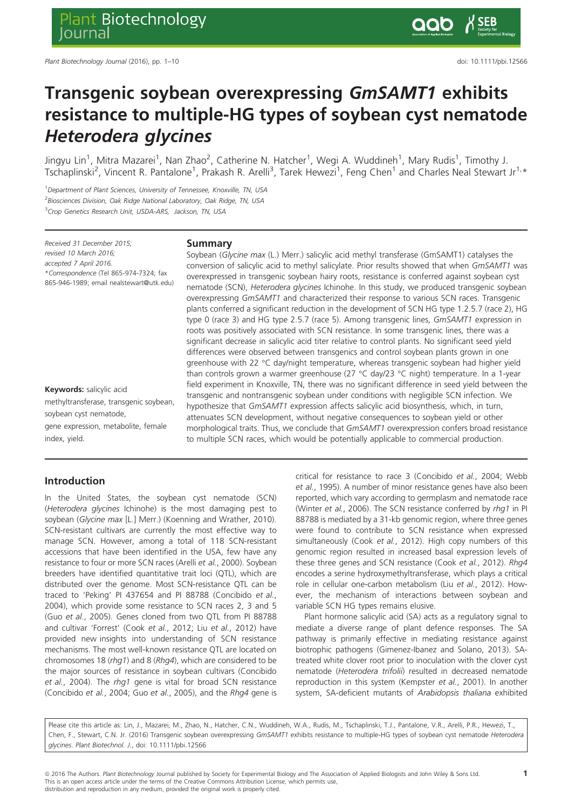# Transgenic soybean overexpressing GmSAMT1 exhibits resistance to multiple-HG types of soybean cyst nematode Heterodera glycines

Jingyu Lin<sup>1</sup>, Mitra Mazarei<sup>1</sup>, Nan Zhao<sup>2</sup>, Catherine N. Hatcher<sup>1</sup>, Wegi A. Wuddineh<sup>1</sup>, Mary Rudis<sup>1</sup>, Timothy J. Tschaplinski<sup>2</sup>, Vincent R. Pantalone<sup>1</sup>, Prakash R. Arelli<sup>3</sup>, Tarek Hewezi<sup>1</sup>, Feng Chen<sup>1</sup> and Charles Neal Stewart Jr<sup>1,</sup>\*

<sup>1</sup>Department of Plant Sciences, University of Tennessee, Knoxville, TN, USA <sup>2</sup> Biosciences Division, Oak Ridge National Laboratory, Oak Ridge, TN, USA <sup>3</sup> Crop Genetics Research Unit, USDA-ARS, Jackson, TN, USA

Received 31 December 2015; revised 10 March 2016; accepted 7 April 2016. \*Correspondence (Tel 865-974-7324; fax 865-946-1989; email nealstewart@utk.edu)

# Keywords: salicylic acid methyltransferase, transgenic soybean, soybean cyst nematode,

gene expression, metabolite, female index, yield.

#### Summary

Soybean (Glycine max (L.) Merr.) salicylic acid methyl transferase (GmSAMT1) catalyses the conversion of salicylic acid to methyl salicylate. Prior results showed that when GmSAMT1 was overexpressed in transgenic soybean hairy roots, resistance is conferred against soybean cyst nematode (SCN), Heterodera glycines Ichinohe. In this study, we produced transgenic soybean overexpressing GmSAMT1 and characterized their response to various SCN races. Transgenic plants conferred a significant reduction in the development of SCN HG type 1.2.5.7 (race 2), HG type 0 (race 3) and HG type 2.5.7 (race 5). Among transgenic lines, GmSAMT1 expression in roots was positively associated with SCN resistance. In some transgenic lines, there was a significant decrease in salicylic acid titer relative to control plants. No significant seed yield differences were observed between transgenics and control soybean plants grown in one greenhouse with 22 °C day/night temperature, whereas transgenic soybean had higher yield than controls grown a warmer greenhouse (27 °C day/23 °C night) temperature. In a 1-year field experiment in Knoxville, TN, there was no significant difference in seed yield between the transgenic and nontransgenic soybean under conditions with negligible SCN infection. We hypothesize that GmSAMT1 expression affects salicylic acid biosynthesis, which, in turn, attenuates SCN development, without negative consequences to soybean yield or other morphological traits. Thus, we conclude that GmSAMT1 overexpression confers broad resistance to multiple SCN races, which would be potentially applicable to commercial production.

## Introduction

In the United States, the soybean cyst nematode (SCN) (Heterodera glycines Ichinohe) is the most damaging pest to soybean (Glycine max [L.] Merr.) (Koenning and Wrather, 2010). SCN-resistant cultivars are currently the most effective way to manage SCN. However, among a total of 118 SCN-resistant accessions that have been identified in the USA, few have any resistance to four or more SCN races (Arelli et al., 2000). Soybean breeders have identified quantitative trait loci (QTL), which are distributed over the genome. Most SCN-resistance QTL can be traced to 'Peking' PI 437654 and PI 88788 (Concibido et al., 2004), which provide some resistance to SCN races 2, 3 and 5 (Guo et al., 2005). Genes cloned from two QTL from PI 88788 and cultivar 'Forrest' (Cook et al., 2012; Liu et al., 2012) have provided new insights into understanding of SCN resistance mechanisms. The most well-known resistance QTL are located on chromosomes 18 (rhg1) and 8 (Rhg4), which are considered to be the major sources of resistance in soybean cultivars (Concibido et al., 2004). The rhg1 gene is vital for broad SCN resistance (Concibido et al., 2004; Guo et al., 2005), and the Rhg4 gene is critical for resistance to race 3 (Concibido et al., 2004; Webb et al., 1995). A number of minor resistance genes have also been reported, which vary according to germplasm and nematode race (Winter et al., 2006). The SCN resistance conferred by rhg1 in PI 88788 is mediated by a 31-kb genomic region, where three genes were found to contribute to SCN resistance when expressed simultaneously (Cook et al., 2012). High copy numbers of this genomic region resulted in increased basal expression levels of these three genes and SCN resistance (Cook et al., 2012). Rhg4 encodes a serine hydroxymethyltransferase, which plays a critical role in cellular one-carbon metabolism (Liu et al., 2012). However, the mechanism of interactions between soybean and variable SCN HG types remains elusive.

Plant hormone salicylic acid (SA) acts as a regulatory signal to mediate a diverse range of plant defence responses. The SA pathway is primarily effective in mediating resistance against biotrophic pathogens (Gimenez-Ibanez and Solano, 2013). SAtreated white clover root prior to inoculation with the clover cyst nematode (Heterodera trifolii) resulted in decreased nematode reproduction in this system (Kempster et al., 2001). In another system, SA-deficient mutants of Arabidopsis thaliana exhibited

Please cite this article as: Lin, J., Mazarei, M., Zhao, N., Hatcher, C.N., Wuddineh, W.A., Rudis, M., Tschaplinski, T.J., Pantalone, V.R., Arelli, P.R., Hewezi, T., Chen, F., Stewart, C.N. Jr. (2016) Transgenic soybean overexpressing GmSAMT1 exhibits resistance to multiple-HG types of soybean cyst nematode Heterodera glycines. Plant Biotechnol. J., doi: [10.1111/pbi.12566](info:doi/10.1111/pbi.12566)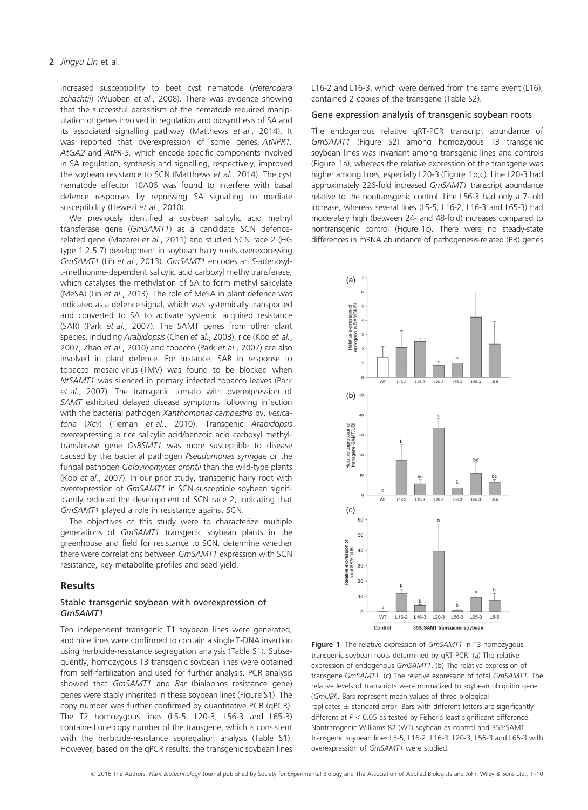increased susceptibility to beet cyst nematode (Heterodera schachtii) (Wubben et al., 2008). There was evidence showing that the successful parasitism of the nematode required manipulation of genes involved in regulation and biosynthesis of SA and its associated signalling pathway (Matthews et al., 2014). It was reported that overexpression of some genes, AtNPR1, AtGA2 and AtPR-5, which encode specific components involved in SA regulation, synthesis and signalling, respectively, improved the soybean resistance to SCN (Matthews et al., 2014). The cyst nematode effector 10A06 was found to interfere with basal defence responses by repressing SA signalling to mediate susceptibility (Hewezi et al., 2010).

We previously identified a soybean salicylic acid methyl transferase gene (GmSAMT1) as a candidate SCN defencerelated gene (Mazarei et al., 2011) and studied SCN race 2 (HG type 1.2.5.7) development in soybean hairy roots overexpressing GmSAMT1 (Lin et al., 2013). GmSAMT1 encodes an S-adenosyl-L-methionine-dependent salicylic acid carboxyl methyltransferase, which catalyses the methylation of SA to form methyl salicylate (MeSA) (Lin et al., 2013). The role of MeSA in plant defence was indicated as a defence signal, which was systemically transported and converted to SA to activate systemic acquired resistance (SAR) (Park et al., 2007). The SAMT genes from other plant species, including Arabidopsis (Chen et al., 2003), rice (Koo et al., 2007; Zhao et al., 2010) and tobacco (Park et al., 2007) are also involved in plant defence. For instance, SAR in response to tobacco mosaic virus (TMV) was found to be blocked when NtSAMT1 was silenced in primary infected tobacco leaves (Park et al., 2007). The transgenic tomato with overexpression of SAMT exhibited delayed disease symptoms following infection with the bacterial pathogen Xanthomonas campestris pv. vesicatoria (Xcv) (Tieman et al., 2010). Transgenic Arabidopsis overexpressing a rice salicylic acid/benzoic acid carboxyl methyltransferase gene OsBSMT1 was more susceptible to disease caused by the bacterial pathogen Pseudomonas syringae or the fungal pathogen Golovinomyces orontii than the wild-type plants (Koo et al., 2007). In our prior study, transgenic hairy root with overexpression of GmSAMT1 in SCN-susceptible soybean significantly reduced the development of SCN race 2, indicating that GmSAMT1 played a role in resistance against SCN.

The objectives of this study were to characterize multiple generations of GmSAMT1 transgenic soybean plants in the greenhouse and field for resistance to SCN, determine whether there were correlations between GmSAMT1 expression with SCN resistance, key metabolite profiles and seed yield.

#### Results

## Stable transgenic soybean with overexpression of GmSAMT1

Ten independent transgenic T1 soybean lines were generated, and nine lines were confirmed to contain a single T-DNA insertion using herbicide-resistance segregation analysis (Table S1). Subsequently, homozygous T3 transgenic soybean lines were obtained from self-fertilization and used for further analysis. PCR analysis showed that GmSAMT1 and Bar (bialaphos resistance gene) genes were stably inherited in these soybean lines (Figure S1). The copy number was further confirmed by quantitative PCR (qPCR). The T2 homozygous lines (L5-5, L20-3, L56-3 and L65-3) contained one copy number of the transgene, which is consistent with the herbicide-resistance segregation analysis (Table S1). However, based on the qPCR results, the transgenic soybean lines L16-2 and L16-3, which were derived from the same event (L16), contained 2 copies of the transgene (Table S2).

#### Gene expression analysis of transgenic soybean roots

The endogenous relative qRT-PCR transcript abundance of GmSAMT1 (Figure S2) among homozygous T3 transgenic soybean lines was invariant among transgenic lines and controls (Figure 1a), whereas the relative expression of the transgene was higher among lines, especially L20-3 (Figure 1b,c). Line L20-3 had approximately 226-fold increased GmSAMT1 transcript abundance relative to the nontransgenic control. Line L56-3 had only a 7-fold increase, whereas several lines (L5-5, L16-2, L16-3 and L65-3) had moderately high (between 24- and 48-fold) increases compared to nontransgenic control (Figure 1c). There were no steady-state differences in mRNA abundance of pathogenesis-related (PR) genes



Figure 1 The relative expression of GmSAMT1 in T3 homozygous transgenic soybean roots determined by qRT-PCR. (a) The relative expression of endogenous GmSAMT1. (b) The relative expression of transgene GmSAMT1. (c) The relative expression of total GmSAMT1. The relative levels of transcripts were normalized to soybean ubiquitin gene (GmUBI). Bars represent mean values of three biological replicates  $\pm$  standard error. Bars with different letters are significantly different at  $P < 0.05$  as tested by Fisher's least significant difference. Nontransgenic Williams 82 (WT) soybean as control and 35S:SAMT transgenic soybean lines L5-5, L16-2, L16-3, L20-3, L56-3 and L65-3 with overexpression of GmSAMT1 were studied.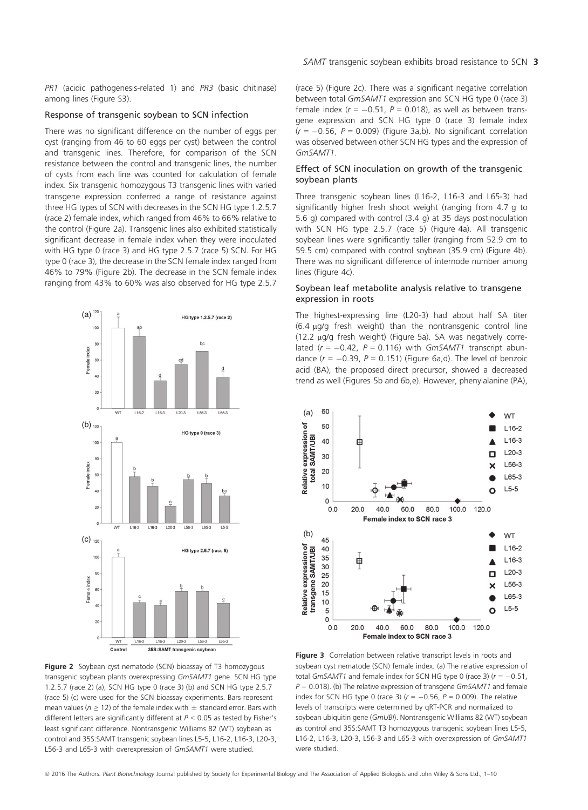PR1 (acidic pathogenesis-related 1) and PR3 (basic chitinase) among lines (Figure S3).

## Response of transgenic soybean to SCN infection

There was no significant difference on the number of eggs per cyst (ranging from 46 to 60 eggs per cyst) between the control and transgenic lines. Therefore, for comparison of the SCN resistance between the control and transgenic lines, the number of cysts from each line was counted for calculation of female index. Six transgenic homozygous T3 transgenic lines with varied transgene expression conferred a range of resistance against three HG types of SCN with decreases in the SCN HG type 1.2.5.7 (race 2) female index, which ranged from 46% to 66% relative to the control (Figure 2a). Transgenic lines also exhibited statistically significant decrease in female index when they were inoculated with HG type 0 (race 3) and HG type 2.5.7 (race 5) SCN. For HG type 0 (race 3), the decrease in the SCN female index ranged from 46% to 79% (Figure 2b). The decrease in the SCN female index ranging from 43% to 60% was also observed for HG type 2.5.7



Figure 2 Soybean cyst nematode (SCN) bioassay of T3 homozygous transgenic soybean plants overexpressing GmSAMT1 gene. SCN HG type 1.2.5.7 (race 2) (a), SCN HG type 0 (race 3) (b) and SCN HG type 2.5.7 (race 5) (c) were used for the SCN bioassay experiments. Bars represent mean values ( $n \geq 12$ ) of the female index with  $\pm$  standard error. Bars with different letters are significantly different at  $P < 0.05$  as tested by Fisher's least significant difference. Nontransgenic Williams 82 (WT) soybean as control and 35S:SAMT transgenic soybean lines L5-5, L16-2, L16-3, L20-3, L56-3 and L65-3 with overexpression of GmSAMT1 were studied.

## SAMT transgenic soybean exhibits broad resistance to SCN 3

(race 5) (Figure 2c). There was a significant negative correlation between total GmSAMT1 expression and SCN HG type 0 (race 3) female index ( $r = -0.51$ ,  $P = 0.018$ ), as well as between transgene expression and SCN HG type 0 (race 3) female index  $(r = -0.56, P = 0.009)$  (Figure 3a,b). No significant correlation was observed between other SCN HG types and the expression of GmSAMT1.

## Effect of SCN inoculation on growth of the transgenic soybean plants

Three transgenic soybean lines (L16-2, L16-3 and L65-3) had significantly higher fresh shoot weight (ranging from 4.7 g to 5.6 g) compared with control (3.4 g) at 35 days postinoculation with SCN HG type 2.5.7 (race 5) (Figure 4a). All transgenic soybean lines were significantly taller (ranging from 52.9 cm to 59.5 cm) compared with control soybean (35.9 cm) (Figure 4b). There was no significant difference of internode number among lines (Figure 4c).

### Soybean leaf metabolite analysis relative to transgene expression in roots

The highest-expressing line (L20-3) had about half SA titer  $(6.4 \mu g/g$  fresh weight) than the nontransgenic control line  $(12.2 \text{ µq/q}$  fresh weight) (Figure 5a). SA was negatively correlated ( $r = -0.42$ ,  $P = 0.116$ ) with GmSAMT1 transcript abundance  $(r = -0.39, P = 0.151)$  (Figure 6a,d). The level of benzoic acid (BA), the proposed direct precursor, showed a decreased trend as well (Figures 5b and 6b,e). However, phenylalanine (PA),



Figure 3 Correlation between relative transcript levels in roots and soybean cyst nematode (SCN) female index. (a) The relative expression of total GmSAMT1 and female index for SCN HG type 0 (race 3) ( $r = -0.51$ ,  $P = 0.018$ ). (b) The relative expression of transgene GmSAMT1 and female index for SCN HG type 0 (race 3) ( $r = -0.56$ ,  $P = 0.009$ ). The relative levels of transcripts were determined by qRT-PCR and normalized to soybean ubiquitin gene (GmUBI). Nontransgenic Williams 82 (WT) soybean as control and 35S:SAMT T3 homozygous transgenic soybean lines L5-5, L16-2, L16-3, L20-3, L56-3 and L65-3 with overexpression of GmSAMT1 were studied.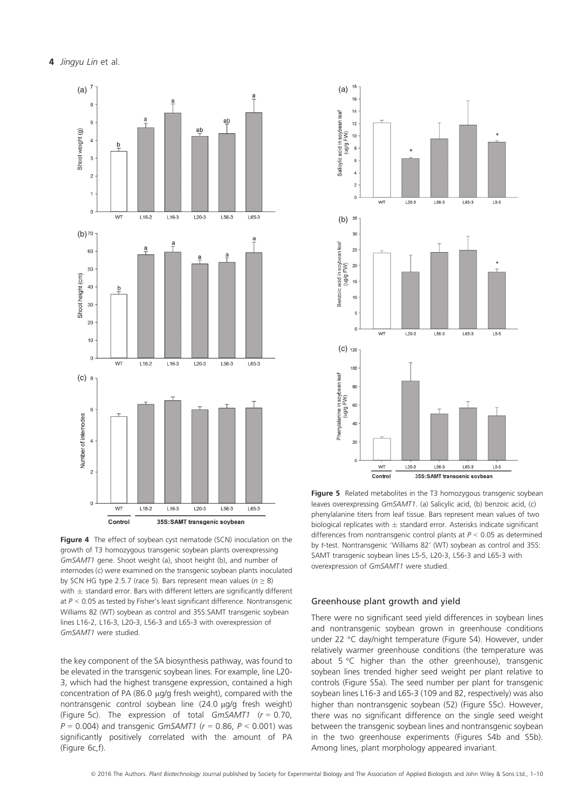

Figure 4 The effect of soybean cyst nematode (SCN) inoculation on the growth of T3 homozygous transgenic soybean plants overexpressing GmSAMT1 gene. Shoot weight (a), shoot height (b), and number of internodes (c) were examined on the transgenic soybean plants inoculated by SCN HG type 2.5.7 (race 5). Bars represent mean values ( $n \ge 8$ ) with  $\pm$  standard error. Bars with different letters are significantly different at  $P < 0.05$  as tested by Fisher's least significant difference. Nontransgenic Williams 82 (WT) soybean as control and 35S:SAMT transgenic soybean lines L16-2, L16-3, L20-3, L56-3 and L65-3 with overexpression of GmSAMT1 were studied.

the key component of the SA biosynthesis pathway, was found to be elevated in the transgenic soybean lines. For example, line L20- 3, which had the highest transgene expression, contained a high concentration of PA (86.0  $\mu$ g/g fresh weight), compared with the nontransgenic control soybean line  $(24.0 \mu q/q$  fresh weight) (Figure 5c). The expression of total GmSAMT1 ( $r = 0.70$ ,  $P = 0.004$ ) and transgenic GmSAMT1 ( $r = 0.86$ ,  $P < 0.001$ ) was significantly positively correlated with the amount of PA (Figure 6c,f).



Figure 5 Related metabolites in the T3 homozygous transgenic soybean leaves overexpressing GmSAMT1. (a) Salicylic acid, (b) benzoic acid, (c) phenylalanine titers from leaf tissue. Bars represent mean values of two biological replicates with  $\pm$  standard error. Asterisks indicate significant differences from nontransgenic control plants at  $P < 0.05$  as determined by t-test. Nontransgenic 'Williams 82' (WT) soybean as control and 35S: SAMT transgenic soybean lines L5-5, L20-3, L56-3 and L65-3 with overexpression of GmSAMT1 were studied.

### Greenhouse plant growth and yield

There were no significant seed yield differences in soybean lines and nontransgenic soybean grown in greenhouse conditions under 22 °C day/night temperature (Figure S4). However, under relatively warmer greenhouse conditions (the temperature was about 5 °C higher than the other greenhouse), transgenic soybean lines trended higher seed weight per plant relative to controls (Figure S5a). The seed number per plant for transgenic soybean lines L16-3 and L65-3 (109 and 82, respectively) was also higher than nontransgenic soybean (52) (Figure S5c). However, there was no significant difference on the single seed weight between the transgenic soybean lines and nontransgenic soybean in the two greenhouse experiments (Figures S4b and S5b). Among lines, plant morphology appeared invariant.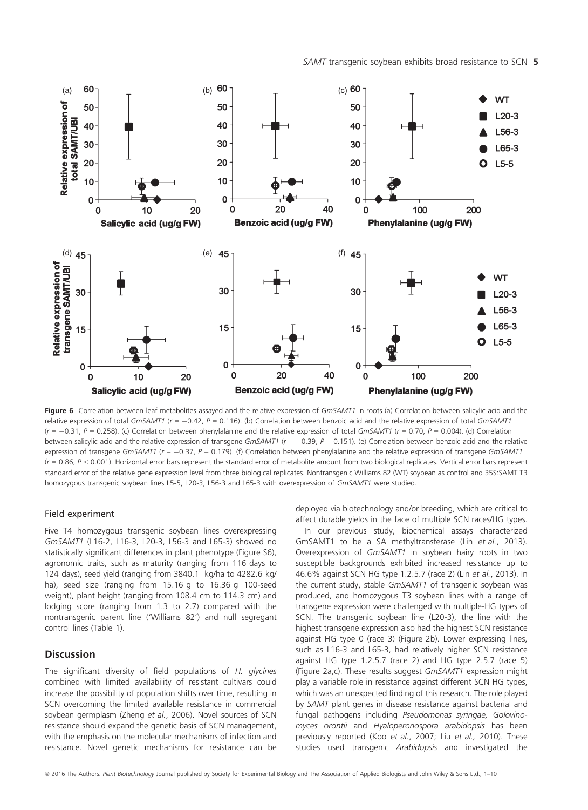SAMT transgenic soybean exhibits broad resistance to SCN 5



Figure 6 Correlation between leaf metabolites assayed and the relative expression of GmSAMT1 in roots (a) Correlation between salicylic acid and the relative expression of total GmSAMT1 ( $r = -0.42$ ,  $P = 0.116$ ). (b) Correlation between benzoic acid and the relative expression of total GmSAMT1  $(r = -0.31, P = 0.258)$ . (c) Correlation between phenylalanine and the relative expression of total GmSAMT1 ( $r = 0.70, P = 0.004$ ). (d) Correlation between salicylic acid and the relative expression of transgene  $GmSAMT1$  ( $r = -0.39$ ,  $P = 0.151$ ). (e) Correlation between benzoic acid and the relative expression of transgene GmSAMT1 ( $r = -0.37$ ,  $P = 0.179$ ). (f) Correlation between phenylalanine and the relative expression of transgene GmSAMT1  $(r = 0.86, P < 0.001)$ . Horizontal error bars represent the standard error of metabolite amount from two biological replicates. Vertical error bars represent standard error of the relative gene expression level from three biological replicates. Nontransgenic Williams 82 (WT) soybean as control and 35S:SAMT T3 homozygous transgenic soybean lines L5-5, L20-3, L56-3 and L65-3 with overexpression of GmSAMT1 were studied.

#### Field experiment

Five T4 homozygous transgenic soybean lines overexpressing GmSAMT1 (L16-2, L16-3, L20-3, L56-3 and L65-3) showed no statistically significant differences in plant phenotype (Figure S6), agronomic traits, such as maturity (ranging from 116 days to 124 days), seed yield (ranging from 3840.1 kg/ha to 4282.6 kg/ ha), seed size (ranging from 15.16 g to 16.36 g 100-seed weight), plant height (ranging from 108.4 cm to 114.3 cm) and lodging score (ranging from 1.3 to 2.7) compared with the nontransgenic parent line ('Williams 82') and null segregant control lines (Table 1).

## **Discussion**

The significant diversity of field populations of H. glycines combined with limited availability of resistant cultivars could increase the possibility of population shifts over time, resulting in SCN overcoming the limited available resistance in commercial soybean germplasm (Zheng et al., 2006). Novel sources of SCN resistance should expand the genetic basis of SCN management, with the emphasis on the molecular mechanisms of infection and resistance. Novel genetic mechanisms for resistance can be

deployed via biotechnology and/or breeding, which are critical to affect durable yields in the face of multiple SCN races/HG types.

In our previous study, biochemical assays characterized GmSAMT1 to be a SA methyltransferase (Lin et al., 2013). Overexpression of GmSAMT1 in soybean hairy roots in two susceptible backgrounds exhibited increased resistance up to 46.6% against SCN HG type 1.2.5.7 (race 2) (Lin et al., 2013). In the current study, stable GmSAMT1 of transgenic soybean was produced, and homozygous T3 soybean lines with a range of transgene expression were challenged with multiple-HG types of SCN. The transgenic soybean line (L20-3), the line with the highest transgene expression also had the highest SCN resistance against HG type 0 (race 3) (Figure 2b). Lower expressing lines, such as L16-3 and L65-3, had relatively higher SCN resistance against HG type 1.2.5.7 (race 2) and HG type 2.5.7 (race 5) (Figure 2a,c). These results suggest GmSAMT1 expression might play a variable role in resistance against different SCN HG types, which was an unexpected finding of this research. The role played by SAMT plant genes in disease resistance against bacterial and fungal pathogens including Pseudomonas syringae, Golovinomyces orontii and Hyaloperonospora arabidopsis has been previously reported (Koo et al., 2007; Liu et al., 2010). These studies used transgenic Arabidopsis and investigated the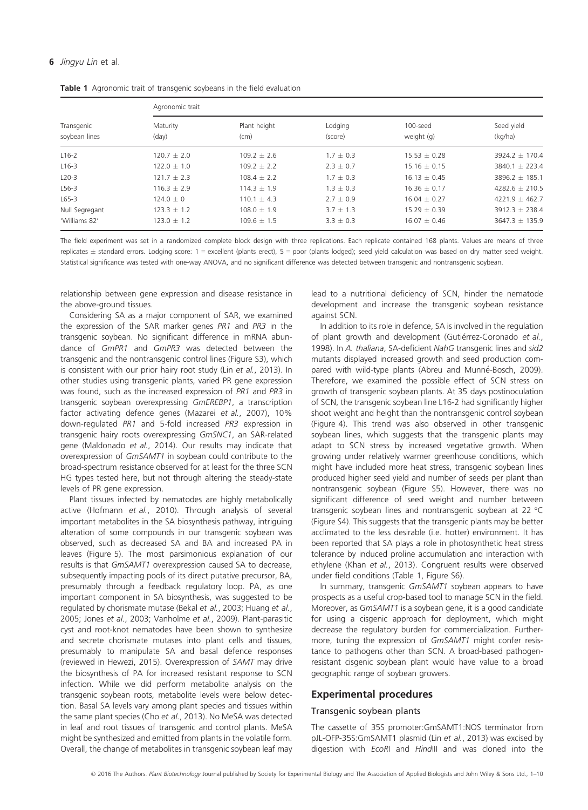### 6 Jingyu Lin et al.

| Transgenic<br>soybean lines | Agronomic trait            |                      |                    |                        |                       |
|-----------------------------|----------------------------|----------------------|--------------------|------------------------|-----------------------|
|                             | Maturity<br>$\text{(day)}$ | Plant height<br>(cm) | Lodging<br>(score) | 100-seed<br>weight (g) | Seed yield<br>(kg/ha) |
| $L16-2$                     | $120.7 + 2.0$              | $109.2 + 2.6$        | $1.7 \pm 0.3$      | $15.53 + 0.28$         | $3924.2 \pm 170.4$    |
| $L16-3$                     | $122.0 + 1.0$              | $109.2 + 2.2$        | $2.3 + 0.7$        | $15.16 + 0.15$         | $3840.1 + 223.4$      |
| $L20-3$                     | $121.7 + 2.3$              | $108.4 + 2.2$        | $1.7 + 0.3$        | $16.13 + 0.45$         | $3896.2 + 185.1$      |
| $L56-3$                     | $116.3 + 2.9$              | $114.3 + 1.9$        | $1.3 + 0.3$        | $16.36 + 0.17$         | $4282.6 + 210.5$      |
| $L65-3$                     | $124.0 + 0$                | $110.1 + 4.3$        | $2.7 + 0.9$        | $16.04 + 0.27$         | $4221.9 + 462.7$      |
| Null Segregant              | $123.3 + 1.2$              | $108.0 + 1.9$        | $3.7 + 1.3$        | $15.29 + 0.39$         | $3912.3 \pm 238.4$    |
| 'Williams 82'               | $123.0 \pm 1.2$            | $109.6 \pm 1.5$      | $3.3 \pm 0.3$      | $16.07 \pm 0.46$       | $3647.3 \pm 135.9$    |

Table 1 Agronomic trait of transgenic soybeans in the field evaluation

The field experiment was set in a randomized complete block design with three replications. Each replicate contained 168 plants. Values are means of three replicates  $\pm$  standard errors. Lodging score: 1 = excellent (plants erect), 5 = poor (plants lodged); seed yield calculation was based on dry matter seed weight. Statistical significance was tested with one-way ANOVA, and no significant difference was detected between transgenic and nontransgenic soybean.

relationship between gene expression and disease resistance in the above-ground tissues.

Considering SA as a major component of SAR, we examined the expression of the SAR marker genes PR1 and PR3 in the transgenic soybean. No significant difference in mRNA abundance of GmPR1 and GmPR3 was detected between the transgenic and the nontransgenic control lines (Figure S3), which is consistent with our prior hairy root study (Lin et al., 2013). In other studies using transgenic plants, varied PR gene expression was found, such as the increased expression of PR1 and PR3 in transgenic soybean overexpressing GmEREBP1, a transcription factor activating defence genes (Mazarei et al., 2007), 10% down-regulated PR1 and 5-fold increased PR3 expression in transgenic hairy roots overexpressing GmSNC1, an SAR-related gene (Maldonado et al., 2014). Our results may indicate that overexpression of GmSAMT1 in soybean could contribute to the broad-spectrum resistance observed for at least for the three SCN HG types tested here, but not through altering the steady-state levels of PR gene expression.

Plant tissues infected by nematodes are highly metabolically active (Hofmann et al., 2010). Through analysis of several important metabolites in the SA biosynthesis pathway, intriguing alteration of some compounds in our transgenic soybean was observed, such as decreased SA and BA and increased PA in leaves (Figure 5). The most parsimonious explanation of our results is that GmSAMT1 overexpression caused SA to decrease, subsequently impacting pools of its direct putative precursor, BA, presumably through a feedback regulatory loop. PA, as one important component in SA biosynthesis, was suggested to be regulated by chorismate mutase (Bekal et al., 2003; Huang et al., 2005; Jones et al., 2003; Vanholme et al., 2009). Plant-parasitic cyst and root-knot nematodes have been shown to synthesize and secrete chorismate mutases into plant cells and tissues, presumably to manipulate SA and basal defence responses (reviewed in Hewezi, 2015). Overexpression of SAMT may drive the biosynthesis of PA for increased resistant response to SCN infection. While we did perform metabolite analysis on the transgenic soybean roots, metabolite levels were below detection. Basal SA levels vary among plant species and tissues within the same plant species (Cho et al., 2013). No MeSA was detected in leaf and root tissues of transgenic and control plants. MeSA might be synthesized and emitted from plants in the volatile form. Overall, the change of metabolites in transgenic soybean leaf may lead to a nutritional deficiency of SCN, hinder the nematode development and increase the transgenic soybean resistance against SCN.

In addition to its role in defence, SA is involved in the regulation of plant growth and development (Gutiérrez-Coronado et al., 1998). In A. thaliana, SA-deficient NahG transgenic lines and sid2 mutants displayed increased growth and seed production compared with wild-type plants (Abreu and Munné-Bosch, 2009). Therefore, we examined the possible effect of SCN stress on growth of transgenic soybean plants. At 35 days postinoculation of SCN, the transgenic soybean line L16-2 had significantly higher shoot weight and height than the nontransgenic control soybean (Figure 4). This trend was also observed in other transgenic soybean lines, which suggests that the transgenic plants may adapt to SCN stress by increased vegetative growth. When growing under relatively warmer greenhouse conditions, which might have included more heat stress, transgenic soybean lines produced higher seed yield and number of seeds per plant than nontransgenic soybean (Figure S5). However, there was no significant difference of seed weight and number between transgenic soybean lines and nontransgenic soybean at 22 °C (Figure S4). This suggests that the transgenic plants may be better acclimated to the less desirable (i.e. hotter) environment. It has been reported that SA plays a role in photosynthetic heat stress tolerance by induced proline accumulation and interaction with ethylene (Khan et al., 2013). Congruent results were observed under field conditions (Table 1, Figure S6).

In summary, transgenic GmSAMT1 soybean appears to have prospects as a useful crop-based tool to manage SCN in the field. Moreover, as GmSAMT1 is a soybean gene, it is a good candidate for using a cisgenic approach for deployment, which might decrease the regulatory burden for commercialization. Furthermore, tuning the expression of GmSAMT1 might confer resistance to pathogens other than SCN. A broad-based pathogenresistant cisgenic soybean plant would have value to a broad geographic range of soybean growers.

## Experimental procedures

#### Transgenic soybean plants

The cassette of 35S promoter:GmSAMT1:NOS terminator from pJL-OFP-35S:GmSAMT1 plasmid (Lin et al., 2013) was excised by digestion with EcoRI and HindIII and was cloned into the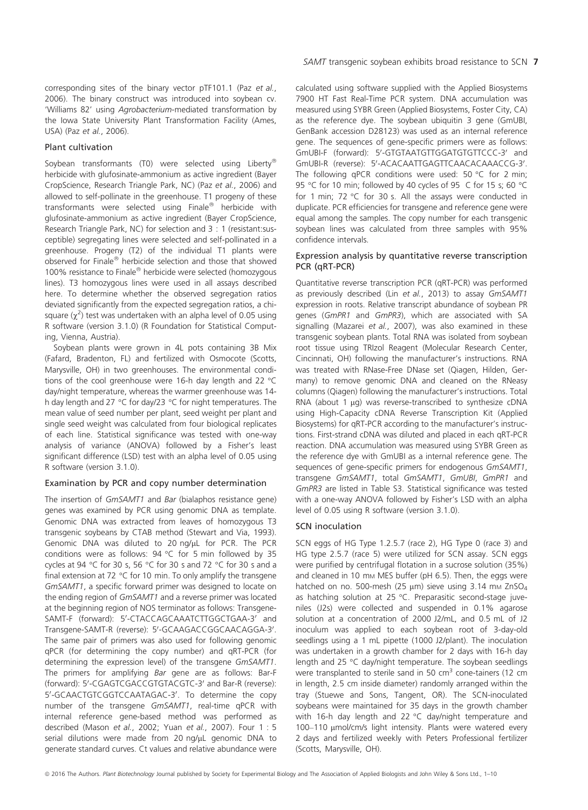corresponding sites of the binary vector pTF101.1 (Paz et al., 2006). The binary construct was introduced into soybean cv. 'Williams 82' using Agrobacterium-mediated transformation by the Iowa State University Plant Transformation Facility (Ames, USA) (Paz et al., 2006).

### Plant cultivation

Soybean transformants (T0) were selected using Liberty® herbicide with glufosinate-ammonium as active ingredient (Bayer CropScience, Research Triangle Park, NC) (Paz et al., 2006) and allowed to self-pollinate in the greenhouse. T1 progeny of these transformants were selected using Finale® herbicide with glufosinate-ammonium as active ingredient (Bayer CropScience, Research Triangle Park, NC) for selection and 3 : 1 (resistant:susceptible) segregating lines were selected and self-pollinated in a greenhouse. Progeny (T2) of the individual T1 plants were observed for Finale® herbicide selection and those that showed 100% resistance to Finale® herbicide were selected (homozygous lines). T3 homozygous lines were used in all assays described here. To determine whether the observed segregation ratios deviated significantly from the expected segregation ratios, a chisquare ( $\chi^2$ ) test was undertaken with an alpha level of 0.05 using R software (version 3.1.0) (R Foundation for Statistical Computing, Vienna, Austria).

Soybean plants were grown in 4L pots containing 3B Mix (Fafard, Bradenton, FL) and fertilized with Osmocote (Scotts, Marysville, OH) in two greenhouses. The environmental conditions of the cool greenhouse were 16-h day length and 22 °C day/night temperature, whereas the warmer greenhouse was 14 h day length and 27 °C for day/23 °C for night temperatures. The mean value of seed number per plant, seed weight per plant and single seed weight was calculated from four biological replicates of each line. Statistical significance was tested with one-way analysis of variance (ANOVA) followed by a Fisher's least significant difference (LSD) test with an alpha level of 0.05 using R software (version 3.1.0).

## Examination by PCR and copy number determination

The insertion of GmSAMT1 and Bar (bialaphos resistance gene) genes was examined by PCR using genomic DNA as template. Genomic DNA was extracted from leaves of homozygous T3 transgenic soybeans by CTAB method (Stewart and Via, 1993). Genomic DNA was diluted to 20 ng/uL for PCR. The PCR conditions were as follows: 94 °C for 5 min followed by 35 cycles at 94 °C for 30 s, 56 °C for 30 s and 72 °C for 30 s and a final extension at 72 °C for 10 min. To only amplify the transgene GmSAMT1, a specific forward primer was designed to locate on the ending region of GmSAMT1 and a reverse primer was located at the beginning region of NOS terminator as follows: Transgene-SAMT-F (forward): 5'-CTACCAGCAAATCTTGGCTGAA-3' and Transgene-SAMT-R (reverse): 5'-GCAAGACCGGCAACAGGA-3'. The same pair of primers was also used for following genomic qPCR (for determining the copy number) and qRT-PCR (for determining the expression level) of the transgene GmSAMT1. The primers for amplifying Bar gene are as follows: Bar-F (forward): 5'-CGAGTCGACCGTGTACGTC-3' and Bar-R (reverse): 5'-GCAACTGTCGGTCCAATAGAC-3'. To determine the copy number of the transgene GmSAMT1, real-time qPCR with internal reference gene-based method was performed as described (Mason et al., 2002; Yuan et al., 2007). Four 1 : 5 serial dilutions were made from 20 ng/µL genomic DNA to generate standard curves. Ct values and relative abundance were

calculated using software supplied with the Applied Biosystems 7900 HT Fast Real-Time PCR system. DNA accumulation was measured using SYBR Green (Applied Biosystems, Foster City, CA) as the reference dye. The soybean ubiquitin 3 gene (GmUBI, GenBank accession D28123) was used as an internal reference gene. The sequences of gene-specific primers were as follows: GmUBI-F (forward): 5'-GTGTAATGTTGGATGTGTTCCC-3' and GmUBI-R (reverse): 5'-ACACAATTGAGTTCAACACAAACCG-3'. The following qPCR conditions were used: 50 °C for 2 min; 95 °C for 10 min; followed by 40 cycles of 95 C for 15 s; 60 °C for 1 min; 72 °C for 30 s. All the assays were conducted in duplicate. PCR efficiencies for transgene and reference gene were equal among the samples. The copy number for each transgenic soybean lines was calculated from three samples with 95% confidence intervals.

## Expression analysis by quantitative reverse transcription PCR (qRT-PCR)

Quantitative reverse transcription PCR (qRT-PCR) was performed as previously described (Lin et al., 2013) to assay GmSAMT1 expression in roots. Relative transcript abundance of soybean PR genes (GmPR1 and GmPR3), which are associated with SA signalling (Mazarei et al., 2007), was also examined in these transgenic soybean plants. Total RNA was isolated from soybean root tissue using TRIzol Reagent (Molecular Research Center, Cincinnati, OH) following the manufacturer's instructions. RNA was treated with RNase-Free DNase set (Qiagen, Hilden, Germany) to remove genomic DNA and cleaned on the RNeasy columns (Qiagen) following the manufacturer's instructions. Total RNA (about 1  $\mu$ g) was reverse-transcribed to synthesize cDNA using High-Capacity cDNA Reverse Transcription Kit (Applied Biosystems) for qRT-PCR according to the manufacturer's instructions. First-strand cDNA was diluted and placed in each qRT-PCR reaction. DNA accumulation was measured using SYBR Green as the reference dye with GmUBI as a internal reference gene. The sequences of gene-specific primers for endogenous GmSAMT1, transgene GmSAMT1, total GmSAMT1, GmUBI, GmPR1 and GmPR3 are listed in Table S3. Statistical significance was tested with a one-way ANOVA followed by Fisher's LSD with an alpha level of 0.05 using R software (version 3.1.0).

## SCN inoculation

SCN eggs of HG Type 1.2.5.7 (race 2), HG Type 0 (race 3) and HG type 2.5.7 (race 5) were utilized for SCN assay. SCN eggs were purified by centrifugal flotation in a sucrose solution (35%) and cleaned in 10 mm MES buffer (pH 6.5). Then, the eggs were hatched on no. 500-mesh (25  $\mu$ m) sieve using 3.14 mm ZnSO<sub>4</sub> as hatching solution at 25 °C. Preparasitic second-stage juveniles (J2s) were collected and suspended in 0.1% agarose solution at a concentration of 2000 J2/mL, and 0.5 mL of J2 inoculum was applied to each soybean root of 3-day-old seedlings using a 1 mL pipette (1000 J2/plant). The inoculation was undertaken in a growth chamber for 2 days with 16-h day length and 25 °C day/night temperature. The soybean seedlings were transplanted to sterile sand in 50 cm<sup>3</sup> cone-tainers (12 cm in length, 2.5 cm inside diameter) randomly arranged within the tray (Stuewe and Sons, Tangent, OR). The SCN-inoculated soybeans were maintained for 35 days in the growth chamber with 16-h day length and 22 °C day/night temperature and 100-110 μmol/cm/s light intensity. Plants were watered every 2 days and fertilized weekly with Peters Professional fertilizer (Scotts, Marysville, OH).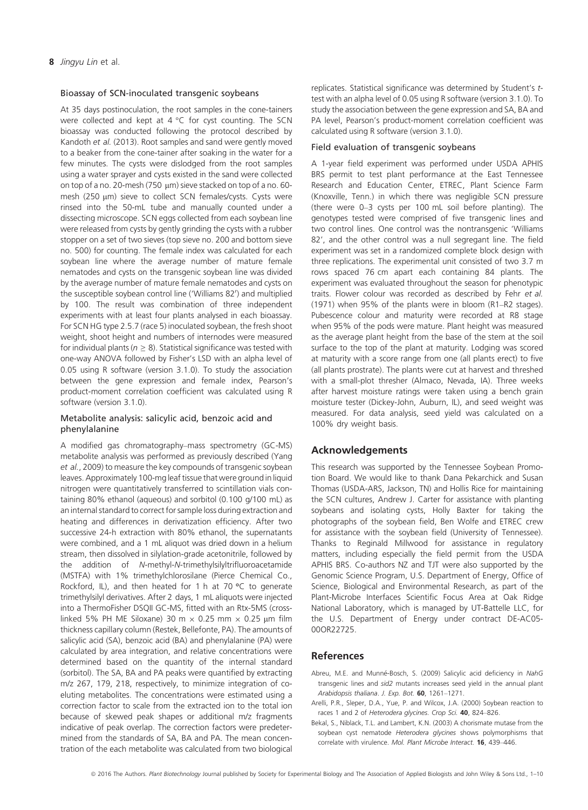#### Bioassay of SCN-inoculated transgenic soybeans

At 35 days postinoculation, the root samples in the cone-tainers were collected and kept at  $4^{\circ}$ C for cyst counting. The SCN bioassay was conducted following the protocol described by Kandoth et al. (2013). Root samples and sand were gently moved to a beaker from the cone-tainer after soaking in the water for a few minutes. The cysts were dislodged from the root samples using a water sprayer and cysts existed in the sand were collected on top of a no. 20-mesh (750 µm) sieve stacked on top of a no. 60mesh (250 µm) sieve to collect SCN females/cysts. Cysts were rinsed into the 50-mL tube and manually counted under a dissecting microscope. SCN eggs collected from each soybean line were released from cysts by gently grinding the cysts with a rubber stopper on a set of two sieves (top sieve no. 200 and bottom sieve no. 500) for counting. The female index was calculated for each soybean line where the average number of mature female nematodes and cysts on the transgenic soybean line was divided by the average number of mature female nematodes and cysts on the susceptible soybean control line ('Williams 82') and multiplied by 100. The result was combination of three independent experiments with at least four plants analysed in each bioassay. For SCN HG type 2.5.7 (race 5) inoculated soybean, the fresh shoot weight, shoot height and numbers of internodes were measured for individual plants ( $n \geq 8$ ). Statistical significance was tested with one-way ANOVA followed by Fisher's LSD with an alpha level of 0.05 using R software (version 3.1.0). To study the association between the gene expression and female index, Pearson's product-moment correlation coefficient was calculated using R software (version 3.1.0).

## Metabolite analysis: salicylic acid, benzoic acid and phenylalanine

A modified gas chromatography–mass spectrometry (GC-MS) metabolite analysis was performed as previously described (Yang et al., 2009) to measure the key compounds of transgenic soybean leaves. Approximately 100-mg leaf tissue that were ground in liquid nitrogen were quantitatively transferred to scintillation vials containing 80% ethanol (aqueous) and sorbitol (0.100 g/100 mL) as an internal standard to correct for sample loss during extraction and heating and differences in derivatization efficiency. After two successive 24-h extraction with 80% ethanol, the supernatants were combined, and a 1 mL aliquot was dried down in a helium stream, then dissolved in silylation-grade acetonitrile, followed by the addition of N-methyl-N-trimethylsilyltrifluoroacetamide (MSTFA) with 1% trimethylchlorosilane (Pierce Chemical Co., Rockford, IL), and then heated for 1 h at 70 °C to generate trimethylsilyl derivatives. After 2 days, 1 mL aliquots were injected into a ThermoFisher DSQII GC-MS, fitted with an Rtx-5MS (crosslinked 5% PH ME Siloxane) 30 m  $\times$  0.25 mm  $\times$  0.25 µm film thickness capillary column (Restek, Bellefonte, PA). The amounts of salicylic acid (SA), benzoic acid (BA) and phenylalanine (PA) were calculated by area integration, and relative concentrations were determined based on the quantity of the internal standard (sorbitol). The SA, BA and PA peaks were quantified by extracting m/z 267, 179, 218, respectively, to minimize integration of coeluting metabolites. The concentrations were estimated using a correction factor to scale from the extracted ion to the total ion because of skewed peak shapes or additional m/z fragments indicative of peak overlap. The correction factors were predetermined from the standards of SA, BA and PA. The mean concentration of the each metabolite was calculated from two biological replicates. Statistical significance was determined by Student's ttest with an alpha level of 0.05 using R software (version 3.1.0). To study the association between the gene expression and SA, BA and PA level, Pearson's product-moment correlation coefficient was calculated using R software (version 3.1.0).

## Field evaluation of transgenic soybeans

A 1-year field experiment was performed under USDA APHIS BRS permit to test plant performance at the East Tennessee Research and Education Center, ETREC, Plant Science Farm (Knoxville, Tenn.) in which there was negligible SCN pressure (there were 0–3 cysts per 100 mL soil before planting). The genotypes tested were comprised of five transgenic lines and two control lines. One control was the nontransgenic 'Williams 82', and the other control was a null segregant line. The field experiment was set in a randomized complete block design with three replications. The experimental unit consisted of two 3.7 m rows spaced 76 cm apart each containing 84 plants. The experiment was evaluated throughout the season for phenotypic traits. Flower colour was recorded as described by Fehr et al. (1971) when 95% of the plants were in bloom (R1–R2 stages). Pubescence colour and maturity were recorded at R8 stage when 95% of the pods were mature. Plant height was measured as the average plant height from the base of the stem at the soil surface to the top of the plant at maturity. Lodging was scored at maturity with a score range from one (all plants erect) to five (all plants prostrate). The plants were cut at harvest and threshed with a small-plot thresher (Almaco, Nevada, IA). Three weeks after harvest moisture ratings were taken using a bench grain moisture tester (Dickey-John, Auburn, IL), and seed weight was measured. For data analysis, seed yield was calculated on a 100% dry weight basis.

## Acknowledgements

This research was supported by the Tennessee Soybean Promotion Board. We would like to thank Dana Pekarchick and Susan Thomas (USDA-ARS, Jackson, TN) and Hollis Rice for maintaining the SCN cultures, Andrew J. Carter for assistance with planting soybeans and isolating cysts, Holly Baxter for taking the photographs of the soybean field, Ben Wolfe and ETREC crew for assistance with the soybean field (University of Tennessee). Thanks to Reginald Millwood for assistance in regulatory matters, including especially the field permit from the USDA APHIS BRS. Co-authors NZ and TJT were also supported by the Genomic Science Program, U.S. Department of Energy, Office of Science, Biological and Environmental Research, as part of the Plant-Microbe Interfaces Scientific Focus Area at Oak Ridge National Laboratory, which is managed by UT-Battelle LLC, for the U.S. Department of Energy under contract DE-AC05- 00OR22725.

## References

- Abreu, M.E. and Munné-Bosch, S. (2009) Salicylic acid deficiency in NahG transgenic lines and sid2 mutants increases seed yield in the annual plant Arabidopsis thaliana. J. Exp. Bot. 60, 1261–1271.
- Arelli, P.R., Sleper, D.A., Yue, P. and Wilcox, J.A. (2000) Soybean reaction to races 1 and 2 of Heterodera glycines. Crop Sci. 40, 824-826.
- Bekal, S., Niblack, T.L. and Lambert, K.N. (2003) A chorismate mutase from the soybean cyst nematode Heterodera glycines shows polymorphisms that correlate with virulence. Mol. Plant Microbe Interact. 16, 439–446.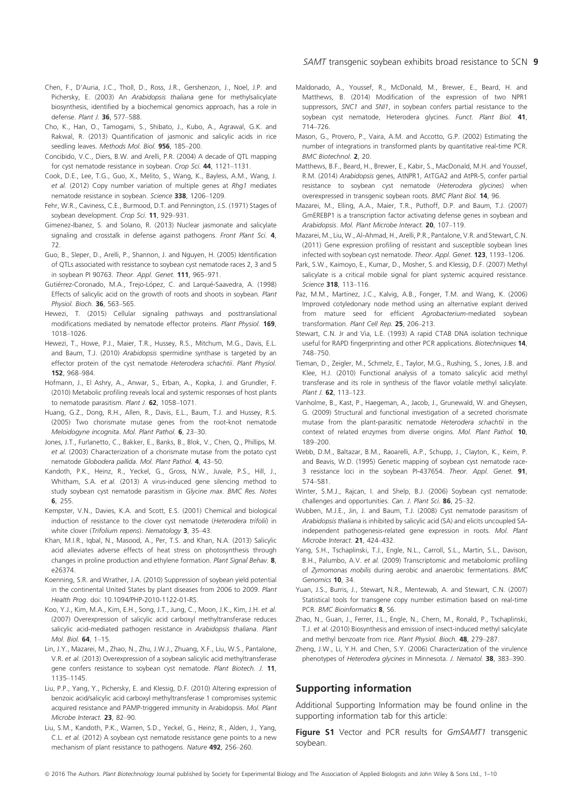- Chen, F., D'Auria, J.C., Tholl, D., Ross, J.R., Gershenzon, J., Noel, J.P. and Pichersky, E. (2003) An Arabidopsis thaliana gene for methylsalicylate biosynthesis, identified by a biochemical genomics approach, has a role in defense. Plant J. 36, 577–588.
- Cho, K., Han, O., Tamogami, S., Shibato, J., Kubo, A., Agrawal, G.K. and Rakwal, R. (2013) Quantification of jasmonic and salicylic acids in rice seedling leaves. Methods Mol. Biol. 956, 185-200.
- Concibido, V.C., Diers, B.W. and Arelli, P.R. (2004) A decade of QTL mapping for cyst nematode resistance in soybean. Crop Sci. 44, 1121–1131.
- Cook, D.E., Lee, T.G., Guo, X., Melito, S., Wang, K., Bayless, A.M., Wang, J. et al. (2012) Copy number variation of multiple genes at Rhg1 mediates nematode resistance in soybean. Science 338, 1206–1209.
- Fehr, W.R., Caviness, C.E., Burmood, D.T. and Pennington, J.S. (1971) Stages of soybean development. Crop Sci. 11, 929-931.
- Gimenez-Ibanez, S. and Solano, R. (2013) Nuclear jasmonate and salicylate signaling and crosstalk in defense against pathogens. Front Plant Sci. 4, 72.
- Guo, B., Sleper, D., Arelli, P., Shannon, J. and Nguyen, H. (2005) Identification of QTLs associated with resistance to soybean cyst nematode races 2, 3 and 5 in soybean PI 90763. Theor. Appl. Genet. 111, 965–971.
- Gutiérrez-Coronado, M.A., Trejo-López, C. and Largué-Saavedra, A. (1998) Effects of salicylic acid on the growth of roots and shoots in soybean. Plant Physiol. Bioch. 36, 563-565.
- Hewezi, T. (2015) Cellular signaling pathways and posttranslational modifications mediated by nematode effector proteins. Plant Physiol. 169, 1018–1026.
- Hewezi, T., Howe, P.J., Maier, T.R., Hussey, R.S., Mitchum, M.G., Davis, E.L. and Baum, T.J. (2010) Arabidopsis spermidine synthase is targeted by an effector protein of the cyst nematode Heterodera schachtii. Plant Physiol. 152, 968–984.
- Hofmann, J., El Ashry, A., Anwar, S., Erban, A., Kopka, J. and Grundler, F. (2010) Metabolic profiling reveals local and systemic responses of host plants to nematode parasitism. Plant J. 62, 1058-1071.
- Huang, G.Z., Dong, R.H., Allen, R., Davis, E.L., Baum, T.J. and Hussey, R.S. (2005) Two chorismate mutase genes from the root-knot nematode Meloidogyne incognita. Mol. Plant Pathol. 6, 23–30.
- Jones, J.T., Furlanetto, C., Bakker, E., Banks, B., Blok, V., Chen, Q., Phillips, M. et al. (2003) Characterization of a chorismate mutase from the potato cyst nematode Globodera pallida. Mol. Plant Pathol. 4, 43–50.
- Kandoth, P.K., Heinz, R., Yeckel, G., Gross, N.W., Juvale, P.S., Hill, J., Whitham, S.A. et al. (2013) A virus-induced gene silencing method to study soybean cyst nematode parasitism in Glycine max. BMC Res. Notes 6, 255.
- Kempster, V.N., Davies, K.A. and Scott, E.S. (2001) Chemical and biological induction of resistance to the clover cyst nematode (Heterodera trifolii) in white clover (Trifolium repens). Nematology 3, 35-43.
- Khan, M.I.R., Iqbal, N., Masood, A., Per, T.S. and Khan, N.A. (2013) Salicylic acid alleviates adverse effects of heat stress on photosynthesis through changes in proline production and ethylene formation. Plant Signal Behav. 8, e26374.
- Koenning, S.R. and Wrather, J.A. (2010) Suppression of soybean yield potential in the continental United States by plant diseases from 2006 to 2009. Plant Health Prog. doi: [10.1094/PHP-2010-1122-01-RS](http://dx.doi.org/10.1094/PHP-2010-1122-01-RS).
- Koo, Y.J., Kim, M.A., Kim, E.H., Song, J.T., Jung, C., Moon, J.K., Kim, J.H. et al. (2007) Overexpression of salicylic acid carboxyl methyltransferase reduces salicylic acid-mediated pathogen resistance in Arabidopsis thaliana. Plant Mol. Biol. 64, 1–15.
- Lin, J.Y., Mazarei, M., Zhao, N., Zhu, J.W.J., Zhuang, X.F., Liu, W.S., Pantalone, V.R. et al. (2013) Overexpression of a soybean salicylic acid methyltransferase gene confers resistance to soybean cyst nematode. Plant Biotech. J. 11, 1135–1145.
- Liu, P.P., Yang, Y., Pichersky, E. and Klessig, D.F. (2010) Altering expression of benzoic acid/salicylic acid carboxyl methyltransferase 1 compromises systemic acquired resistance and PAMP-triggered immunity in Arabidopsis. Mol. Plant Microbe Interact. 23, 82–90.
- Liu, S.M., Kandoth, P.K., Warren, S.D., Yeckel, G., Heinz, R., Alden, J., Yang, C.L. et al. (2012) A soybean cyst nematode resistance gene points to a new mechanism of plant resistance to pathogens. Nature 492, 256–260.
- Maldonado, A., Youssef, R., McDonald, M., Brewer, E., Beard, H. and Matthews, B. (2014) Modification of the expression of two NPR1 suppressors, SNC1 and SNI1, in soybean confers partial resistance to the soybean cyst nematode, Heterodera glycines. Funct. Plant Biol. 41, 714–726.
- Mason, G., Provero, P., Vaira, A.M. and Accotto, G.P. (2002) Estimating the number of integrations in transformed plants by quantitative real-time PCR. BMC Biotechnol. 2, 20.
- Matthews, B.F., Beard, H., Brewer, E., Kabir, S., MacDonald, M.H. and Youssef, R.M. (2014) Arabidopsis genes, AtNPR1, AtTGA2 and AtPR-5, confer partial resistance to soybean cyst nematode (Heterodera glycines) when overexpressed in transgenic soybean roots. BMC Plant Biol. 14, 96.
- Mazarei, M., Elling, A.A., Maier, T.R., Puthoff, D.P. and Baum, T.J. (2007) GmEREBP1 is a transcription factor activating defense genes in soybean and Arabidopsis. Mol. Plant Microbe Interact. 20, 107–119.
- Mazarei, M., Liu, W., Al-Ahmad, H., Arelli, P.R., Pantalone, V.R. and Stewart, C.N. (2011) Gene expression profiling of resistant and susceptible soybean lines infected with soybean cyst nematode. Theor. Appl. Genet. 123, 1193–1206.
- Park, S.W., Kaimoyo, E., Kumar, D., Mosher, S. and Klessig, D.F. (2007) Methyl salicylate is a critical mobile signal for plant systemic acquired resistance. Science 318, 113–116.
- Paz, M.M., Martinez, J.C., Kalvig, A.B., Fonger, T.M. and Wang, K. (2006) Improved cotyledonary node method using an alternative explant derived from mature seed for efficient Agrobacterium-mediated soybean transformation. Plant Cell Rep. 25, 206–213.
- Stewart, C.N. Jr and Via, L.E. (1993) A rapid CTAB DNA isolation technique useful for RAPD fingerprinting and other PCR applications. Biotechniques 14, 748–750.
- Tieman, D., Zeigler, M., Schmelz, E., Taylor, M.G., Rushing, S., Jones, J.B. and Klee, H.J. (2010) Functional analysis of a tomato salicylic acid methyl transferase and its role in synthesis of the flavor volatile methyl salicylate.  $Plant / 62$  113–123.
- Vanholme, B., Kast, P., Haegeman, A., Jacob, J., Grunewald, W. and Gheysen, G. (2009) Structural and functional investigation of a secreted chorismate mutase from the plant-parasitic nematode Heterodera schachtii in the context of related enzymes from diverse origins. Mol. Plant Pathol. 10, 189–200.
- Webb, D.M., Baltazar, B.M., Raoarelli, A.P., Schupp, J., Clayton, K., Keim, P. and Beavis, W.D. (1995) Genetic mapping of soybean cyst nematode race-3 resistance loci in the soybean PI-437654. Theor. Appl. Genet. 91, 574–581.
- Winter, S.M.J., Rajcan, I. and Shelp, B.J. (2006) Soybean cyst nematode: challenges and opportunities. Can. J. Plant Sci. 86, 25-32.
- Wubben, M.J.E., Jin, J. and Baum, T.J. (2008) Cyst nematode parasitism of Arabidopsis thaliana is inhibited by salicylic acid (SA) and elicits uncoupled SAindependent pathogenesis-related gene expression in roots. Mol. Plant Microbe Interact. 21, 424–432.
- Yang, S.H., Tschaplinski, T.J., Engle, N.L., Carroll, S.L., Martin, S.L., Davison, B.H., Palumbo, A.V. et al. (2009) Transcriptomic and metabolomic profiling of Zymomonas mobilis during aerobic and anaerobic fermentations. BMC Genomics 10, 34.
- Yuan, J.S., Burris, J., Stewart, N.R., Mentewab, A. and Stewart, C.N. (2007) Statistical tools for transgene copy number estimation based on real-time PCR. BMC Bioinformatics 8, S6.
- Zhao, N., Guan, J., Ferrer, J.L., Engle, N., Chern, M., Ronald, P., Tschaplinski, T.J. et al. (2010) Biosynthesis and emission of insect-induced methyl salicylate and methyl benzoate from rice. Plant Physiol. Bioch. 48, 279-287.
- Zheng, J.W., Li, Y.H. and Chen, S.Y. (2006) Characterization of the virulence phenotypes of Heterodera glycines in Minnesota. J. Nematol. 38, 383-390.

## Supporting information

Additional Supporting Information may be found online in the supporting information tab for this article:

Figure S1 Vector and PCR results for GmSAMT1 transgenic soybean.